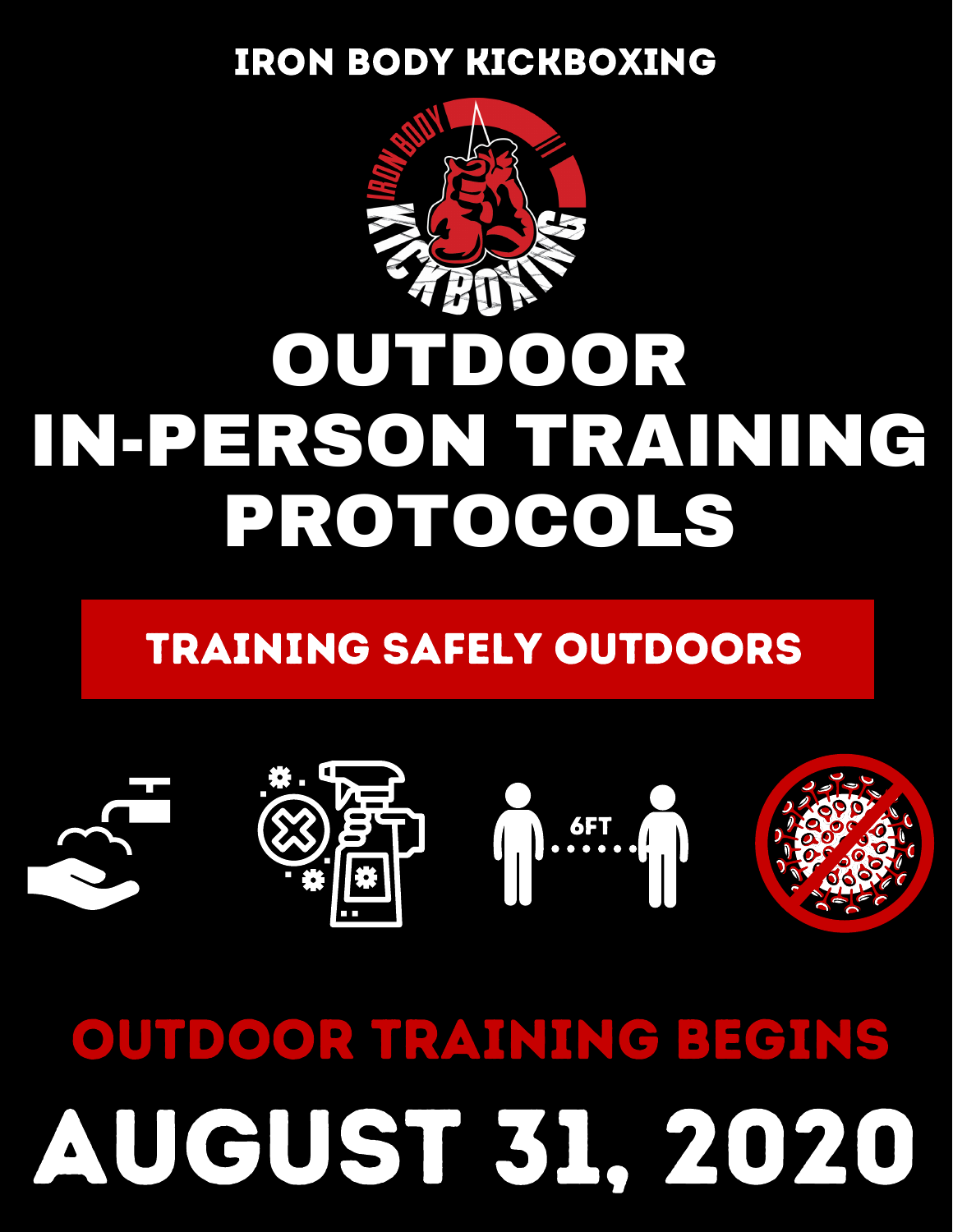#### IRON BODY KICKBOXING



## OUTDOOR IN-PERSON TRAINING PROTOCOLS

#### TRAINING SAFELY OUTDOORS



# AUGUST 31, 2020 OUTDOOR TRAINING BEGINS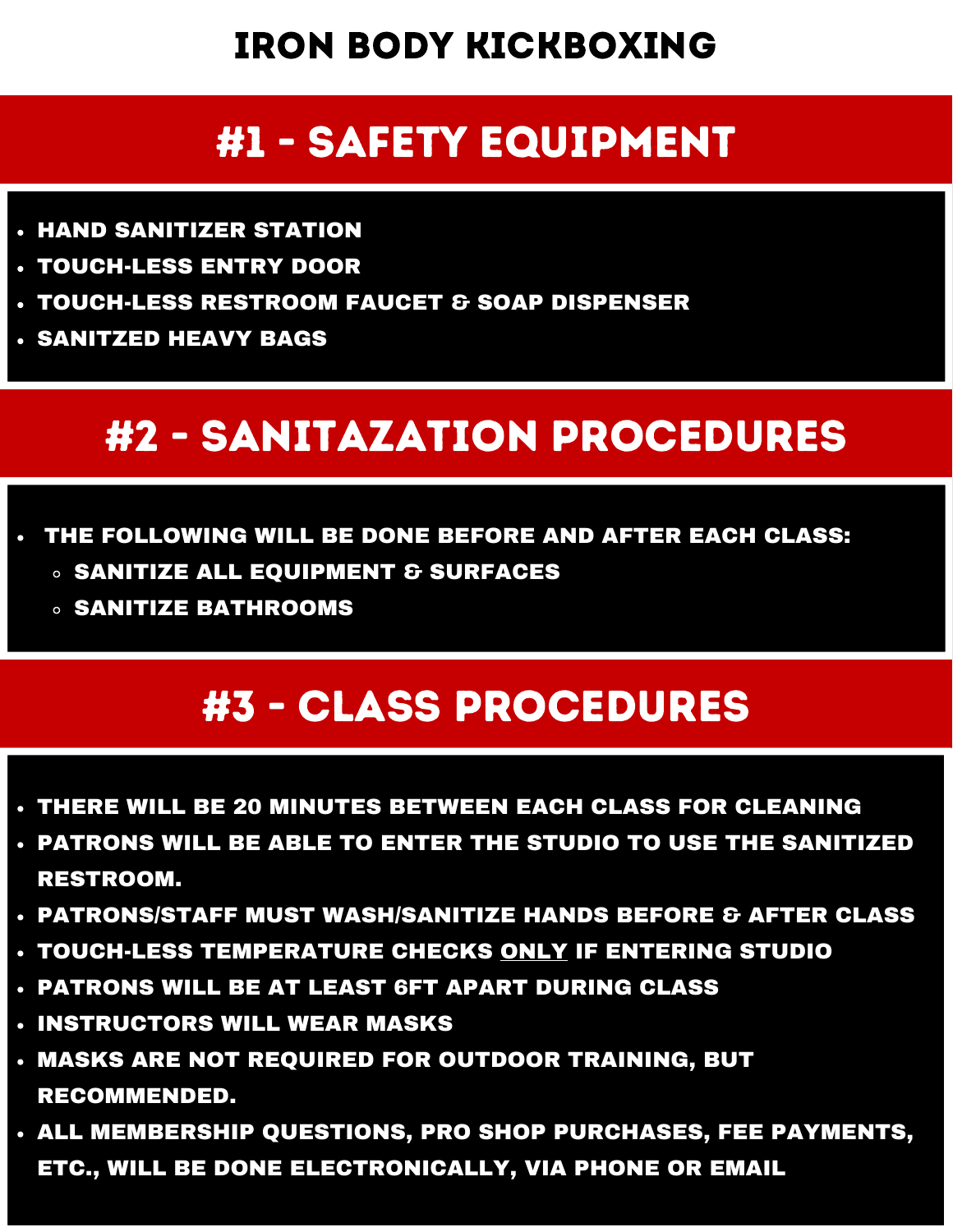#### IRON BODY KICKBOXING

#### #1 - SAFETY EQUIPMENT

- HAND SANITIZER STATION
- TOUCH-LESS ENTRY DOOR
- TOUCH-LESS RESTROOM FAUCET & SOAP DISPENSER
- SANITZED HEAVY BAGS

#### #2 - SANITAZATION PROCEDURES

- THE FOLLOWING WILL BE DONE BEFORE AND AFTER EACH CLASS:
	- **<b>SANITIZE ALL EQUIPMENT & SURFACES**
	- SANITIZE BATHROOMS

#### #3 - CLASS PROCEDURES

- THERE WILL BE 20 MINUTES BETWEEN EACH CLASS FOR CLEANING
- PATRONS WILL BE ABLE TO ENTER THE STUDIO TO USE THE SANITIZED RESTROOM.
- PATRONS/STAFF MUST WASH/SANITIZE HANDS BEFORE & AFTER CLASS
- TOUCH-LESS TEMPERATURE CHECKS ONLY IF ENTERING STUDIO
- PATRONS WILL BE AT LEAST 6FT APART DURING CLASS
- **. INSTRUCTORS WILL WEAR MASKS**
- MASKS ARE NOT REQUIRED FOR OUTDOOR TRAINING, BUT RECOMMENDED.
- ALL MEMBERSHIP QUESTIONS, PRO SHOP PURCHASES, FEE PAYMENTS, ETC., WILL BE DONE ELECTRONICALLY, VIA PHONE OR EMAIL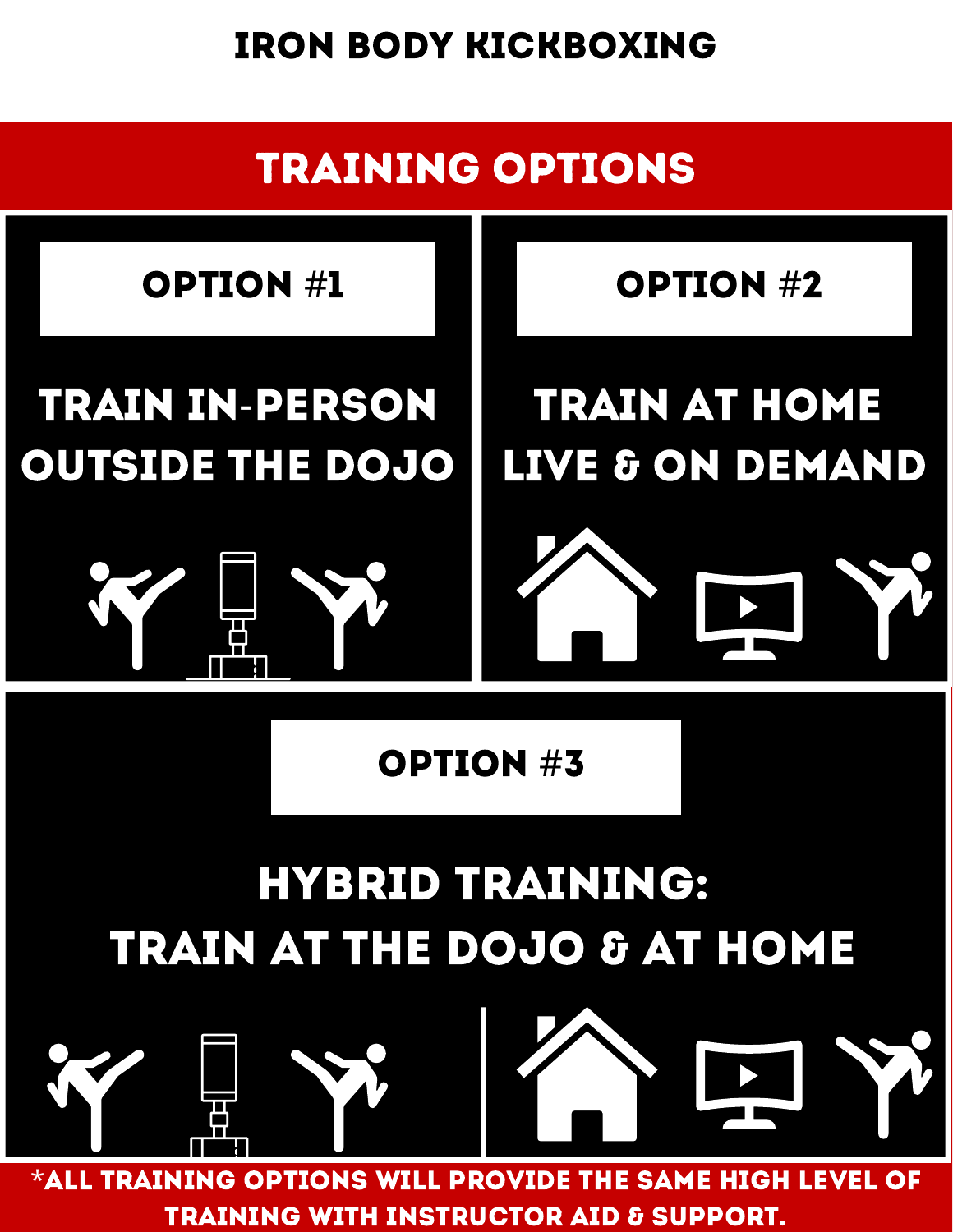IRON BODY KICKBOXING

# TRAINING OPTIONS TRAIN IN-PERSON OUTSIDE THE DOJO TRAIN AT HOME LIVE & ON DEMAND OPTION #1 OPTION #2 OPTION #3

### HYBRID TRAINING: TRAIN AT THE DOJO & AT HOME



\*ALL TRAINING OPTIONS WILL PROVIDE THE SAME high LEVEL OF TRAINING WITH INSTRUCTOR AID & SUPPORT.